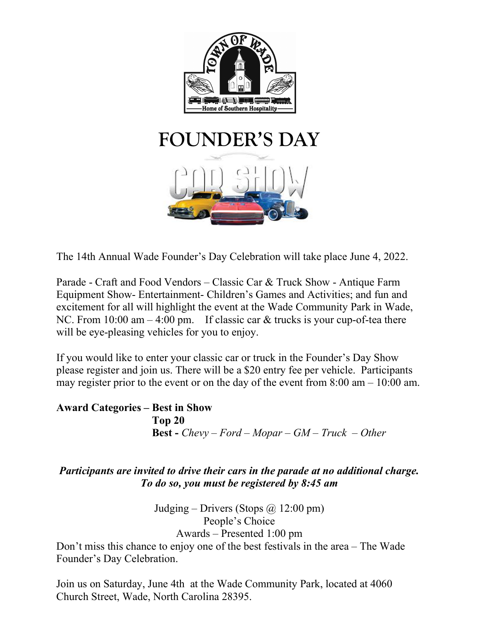

The 14th Annual Wade Founder's Day Celebration will take place June 4, 2022.

Parade - Craft and Food Vendors – Classic Car & Truck Show - Antique Farm Equipment Show- Entertainment- Children's Games and Activities; and fun and excitement for all will highlight the event at the Wade Community Park in Wade, NC. From  $10:00$  am  $-4:00$  pm. If classic car & trucks is your cup-of-tea there will be eye-pleasing vehicles for you to enjoy.

If you would like to enter your classic car or truck in the Founder's Day Show please register and join us. There will be a \$20 entry fee per vehicle. Participants may register prior to the event or on the day of the event from  $8:00 \text{ am} - 10:00 \text{ am}$ .

## Award Categories – Best in Show Top 20 **Best** - Chevy – Ford – Mopar – GM – Truck – Other

# Participants are invited to drive their cars in the parade at no additional charge. To do so, you must be registered by 8:45 am

Judging – Drivers (Stops  $\omega$  12:00 pm) People's Choice Awards – Presented 1:00 pm

Don't miss this chance to enjoy one of the best festivals in the area – The Wade Founder's Day Celebration.

Join us on Saturday, June 4th at the Wade Community Park, located at 4060 Church Street, Wade, North Carolina 28395.